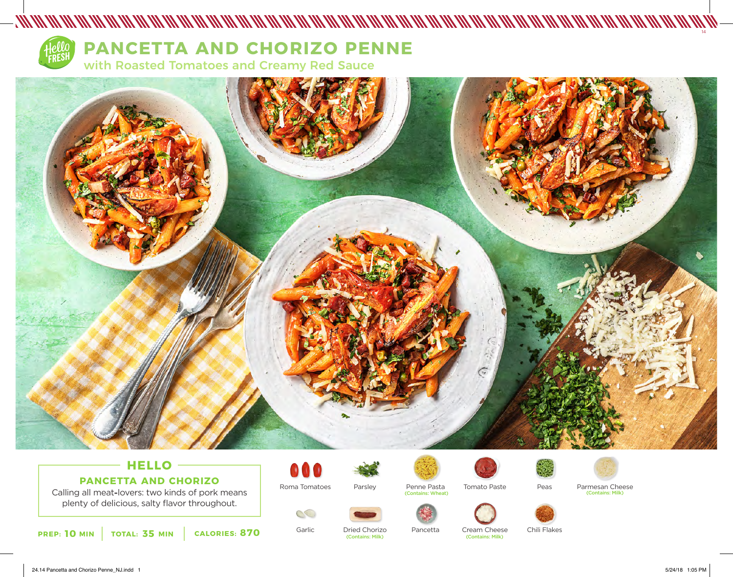

## **PANCETTA AND CHORIZO PENNE**

with Roasted Tomatoes and Creamy Red Sauce



- MANAH MANAH MANAH MANAH MANAH MANAH MANAH MANAH MANAH MANAH MANAH MANAH MANAH MANAH MANAH MANAH M

## **HELLO PANCETTA AND CHORIZO**

Calling all meat**-**lovers: two kinds of pork means plenty of delicious, salty flavor throughout.



Roma Tomatoes Parsley



Tomato Paste (Contains: Wheat)





Parmesan Cheese (Contains: Milk)



Garlic

Dried Chorizo<br>(Contains: Milk) Pancetta

Cream Cheese (Contains: Milk)

Chili Flakes

Peas



14